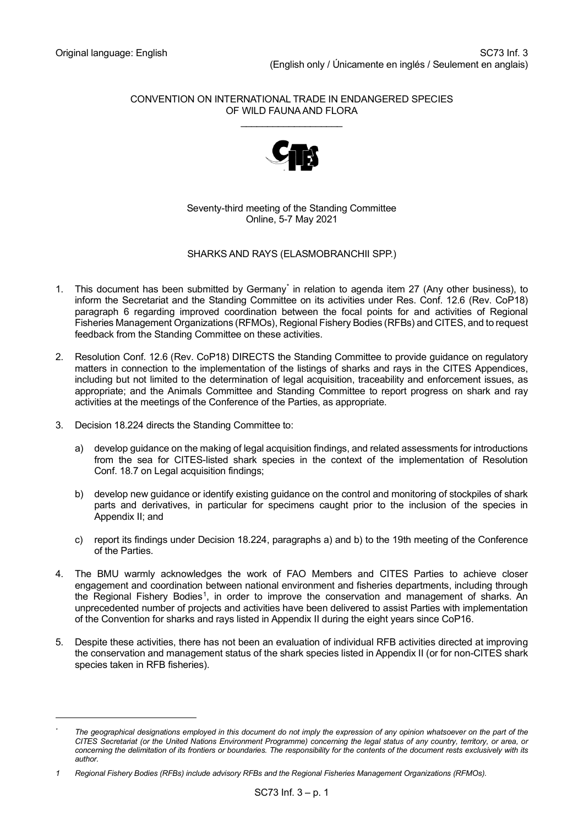#### CONVENTION ON INTERNATIONAL TRADE IN ENDANGERED SPECIES OF WILD FAUNA AND FLORA \_\_\_\_\_\_\_\_\_\_\_\_\_\_\_\_\_\_\_



Seventy-third meeting of the Standing Committee Online, 5-7 May 2021

# SHARKS AND RAYS (ELASMOBRANCHII SPP.)

- 1. This document has been submitted by Germany[\\*](#page-0-0) in relation to agenda item 27 (Any other business), to inform the Secretariat and the Standing Committee on its activities under Res. Conf. 12.6 (Rev. CoP18) paragraph 6 regarding improved coordination between the focal points for and activities of Regional Fisheries Management Organizations (RFMOs), Regional Fishery Bodies (RFBs) and CITES, and to request feedback from the Standing Committee on these activities.
- 2. Resolution Conf. 12.6 (Rev. CoP18) DIRECTS the Standing Committee to provide guidance on regulatory matters in connection to the implementation of the listings of sharks and rays in the CITES Appendices, including but not limited to the determination of legal acquisition, traceability and enforcement issues, as appropriate; and the Animals Committee and Standing Committee to report progress on shark and ray activities at the meetings of the Conference of the Parties, as appropriate.
- 3. Decision 18.224 directs the Standing Committee to:
	- a) develop guidance on the making of legal acquisition findings, and related assessments for introductions from the sea for CITES-listed shark species in the context of the implementation of Resolution Conf. 18.7 on Legal acquisition findings;
	- b) develop new guidance or identify existing guidance on the control and monitoring of stockpiles of shark parts and derivatives, in particular for specimens caught prior to the inclusion of the species in Appendix II; and
	- c) report its findings under Decision 18.224, paragraphs a) and b) to the 19th meeting of the Conference of the Parties.
- 4. The BMU warmly acknowledges the work of FAO Members and CITES Parties to achieve closer engagement and coordination between national environment and fisheries departments, including through the Regional Fishery Bodies<sup>[1](#page-0-1)</sup>, in order to improve the conservation and management of sharks. An unprecedented number of projects and activities have been delivered to assist Parties with implementation of the Convention for sharks and rays listed in Appendix II during the eight years since CoP16.
- 5. Despite these activities, there has not been an evaluation of individual RFB activities directed at improving the conservation and management status of the shark species listed in Appendix II (or for non-CITES shark species taken in RFB fisheries).

<span id="page-0-0"></span>*<sup>\*</sup> The geographical designations employed in this document do not imply the expression of any opinion whatsoever on the part of the CITES Secretariat (or the United Nations Environment Programme) concerning the legal status of any country, territory, or area, or concerning the delimitation of its frontiers or boundaries. The responsibility for the contents of the document rests exclusively with its author.*

<span id="page-0-1"></span>*<sup>1</sup> Regional Fishery Bodies (RFBs) include advisory RFBs and the Regional Fisheries Management Organizations (RFMOs).*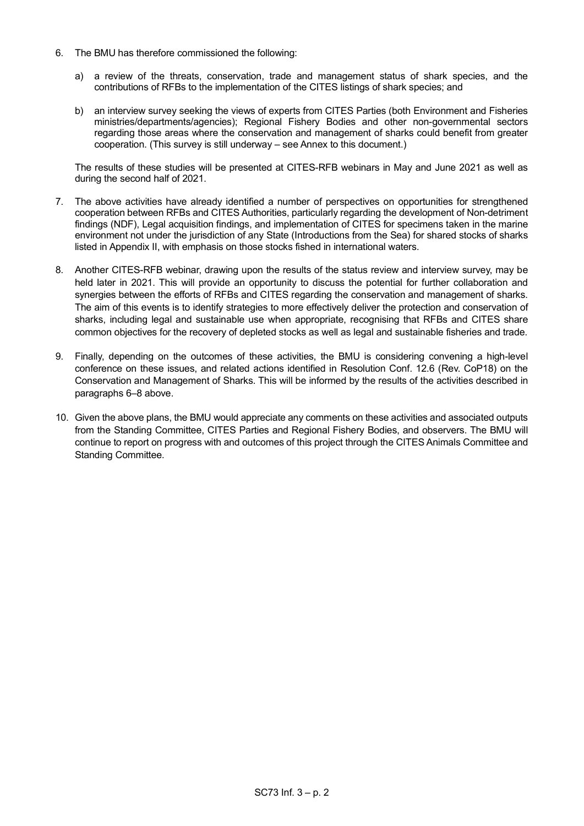- 6. The BMU has therefore commissioned the following:
	- a) a review of the threats, conservation, trade and management status of shark species, and the contributions of RFBs to the implementation of the CITES listings of shark species; and
	- b) an interview survey seeking the views of experts from CITES Parties (both Environment and Fisheries ministries/departments/agencies); Regional Fishery Bodies and other non-governmental sectors regarding those areas where the conservation and management of sharks could benefit from greater cooperation. (This survey is still underway – see Annex to this document.)

The results of these studies will be presented at CITES-RFB webinars in May and June 2021 as well as during the second half of 2021.

- 7. The above activities have already identified a number of perspectives on opportunities for strengthened cooperation between RFBs and CITES Authorities, particularly regarding the development of Non-detriment findings (NDF), Legal acquisition findings, and implementation of CITES for specimens taken in the marine environment not under the jurisdiction of any State (Introductions from the Sea) for shared stocks of sharks listed in Appendix II, with emphasis on those stocks fished in international waters.
- 8. Another CITES-RFB webinar, drawing upon the results of the status review and interview survey, may be held later in 2021. This will provide an opportunity to discuss the potential for further collaboration and synergies between the efforts of RFBs and CITES regarding the conservation and management of sharks. The aim of this events is to identify strategies to more effectively deliver the protection and conservation of sharks, including legal and sustainable use when appropriate, recognising that RFBs and CITES share common objectives for the recovery of depleted stocks as well as legal and sustainable fisheries and trade.
- 9. Finally, depending on the outcomes of these activities, the BMU is considering convening a high-level conference on these issues, and related actions identified in Resolution Conf. 12.6 (Rev. CoP18) on the Conservation and Management of Sharks. This will be informed by the results of the activities described in paragraphs 6–8 above.
- 10. Given the above plans, the BMU would appreciate any comments on these activities and associated outputs from the Standing Committee, CITES Parties and Regional Fishery Bodies, and observers. The BMU will continue to report on progress with and outcomes of this project through the CITES Animals Committee and Standing Committee.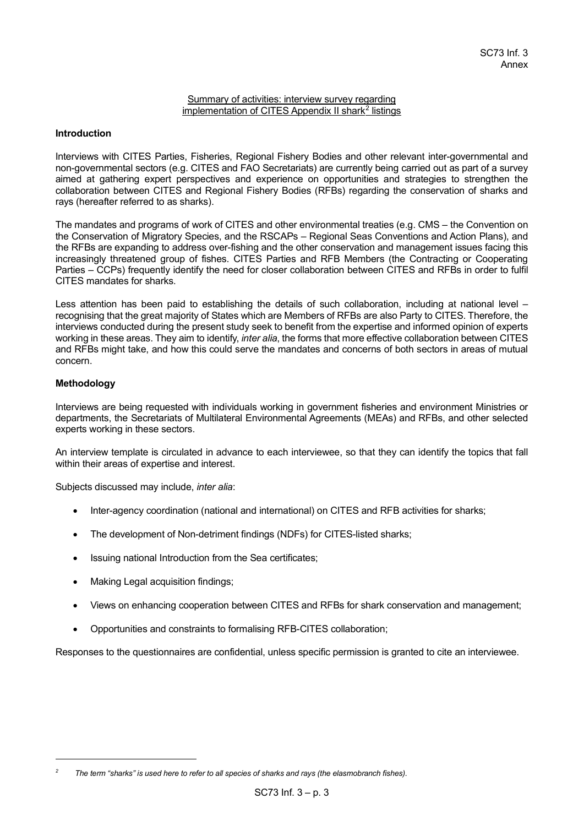#### Summary of activities: interview survey regarding implementation of CITES Appendix II shark<sup>[2](#page-2-0)</sup> listings

#### **Introduction**

Interviews with CITES Parties, Fisheries, Regional Fishery Bodies and other relevant inter-governmental and non-governmental sectors (e.g. CITES and FAO Secretariats) are currently being carried out as part of a survey aimed at gathering expert perspectives and experience on opportunities and strategies to strengthen the collaboration between CITES and Regional Fishery Bodies (RFBs) regarding the conservation of sharks and rays (hereafter referred to as sharks).

The mandates and programs of work of CITES and other environmental treaties (e.g. CMS – the Convention on the Conservation of Migratory Species, and the RSCAPs – Regional Seas Conventions and Action Plans), and the RFBs are expanding to address over-fishing and the other conservation and management issues facing this increasingly threatened group of fishes. CITES Parties and RFB Members (the Contracting or Cooperating Parties – CCPs) frequently identify the need for closer collaboration between CITES and RFBs in order to fulfil CITES mandates for sharks.

Less attention has been paid to establishing the details of such collaboration, including at national level – recognising that the great majority of States which are Members of RFBs are also Party to CITES. Therefore, the interviews conducted during the present study seek to benefit from the expertise and informed opinion of experts working in these areas. They aim to identify, *inter alia*, the forms that more effective collaboration between CITES and RFBs might take, and how this could serve the mandates and concerns of both sectors in areas of mutual concern.

# **Methodology**

Interviews are being requested with individuals working in government fisheries and environment Ministries or departments, the Secretariats of Multilateral Environmental Agreements (MEAs) and RFBs, and other selected experts working in these sectors.

An interview template is circulated in advance to each interviewee, so that they can identify the topics that fall within their areas of expertise and interest.

Subjects discussed may include, *inter alia*:

- Inter-agency coordination (national and international) on CITES and RFB activities for sharks;
- The development of Non-detriment findings (NDFs) for CITES-listed sharks;
- Issuing national Introduction from the Sea certificates;
- Making Legal acquisition findings;
- Views on enhancing cooperation between CITES and RFBs for shark conservation and management;
- Opportunities and constraints to formalising RFB-CITES collaboration;

Responses to the questionnaires are confidential, unless specific permission is granted to cite an interviewee.

<span id="page-2-0"></span>*<sup>2</sup> The term "sharks" is used here to refer to all species of sharks and rays (the elasmobranch fishes).*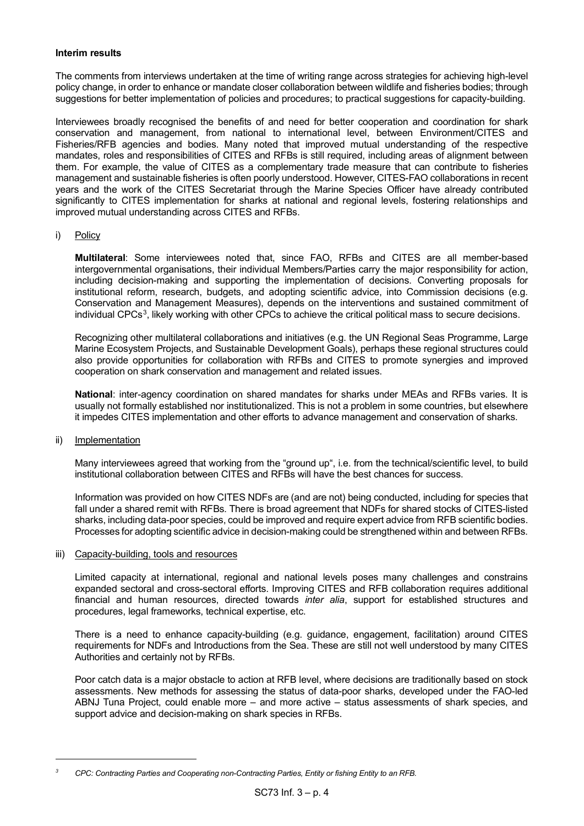# **Interim results**

The comments from interviews undertaken at the time of writing range across strategies for achieving high-level policy change, in order to enhance or mandate closer collaboration between wildlife and fisheries bodies; through suggestions for better implementation of policies and procedures; to practical suggestions for capacity-building.

Interviewees broadly recognised the benefits of and need for better cooperation and coordination for shark conservation and management, from national to international level, between Environment/CITES and Fisheries/RFB agencies and bodies. Many noted that improved mutual understanding of the respective mandates, roles and responsibilities of CITES and RFBs is still required, including areas of alignment between them. For example, the value of CITES as a complementary trade measure that can contribute to fisheries management and sustainable fisheries is often poorly understood. However, CITES-FAO collaborations in recent years and the work of the CITES Secretariat through the Marine Species Officer have already contributed significantly to CITES implementation for sharks at national and regional levels, fostering relationships and improved mutual understanding across CITES and RFBs.

# i) Policy

**Multilateral**: Some interviewees noted that, since FAO, RFBs and CITES are all member-based intergovernmental organisations, their individual Members/Parties carry the major responsibility for action, including decision-making and supporting the implementation of decisions. Converting proposals for institutional reform, research, budgets, and adopting scientific advice, into Commission decisions (e.g. Conservation and Management Measures), depends on the interventions and sustained commitment of individual CPCs $^3$  $^3$ , likely working with other CPCs to achieve the critical political mass to secure decisions.

Recognizing other multilateral collaborations and initiatives (e.g. the UN Regional Seas Programme, Large Marine Ecosystem Projects, and Sustainable Development Goals), perhaps these regional structures could also provide opportunities for collaboration with RFBs and CITES to promote synergies and improved cooperation on shark conservation and management and related issues.

**National**: inter-agency coordination on shared mandates for sharks under MEAs and RFBs varies. It is usually not formally established nor institutionalized. This is not a problem in some countries, but elsewhere it impedes CITES implementation and other efforts to advance management and conservation of sharks.

#### ii) Implementation

Many interviewees agreed that working from the "ground up", i.e. from the technical/scientific level, to build institutional collaboration between CITES and RFBs will have the best chances for success.

Information was provided on how CITES NDFs are (and are not) being conducted, including for species that fall under a shared remit with RFBs. There is broad agreement that NDFs for shared stocks of CITES-listed sharks, including data-poor species, could be improved and require expert advice from RFB scientific bodies. Processes for adopting scientific advice in decision-making could be strengthened within and between RFBs.

# iii) Capacity-building, tools and resources

Limited capacity at international, regional and national levels poses many challenges and constrains expanded sectoral and cross-sectoral efforts. Improving CITES and RFB collaboration requires additional financial and human resources, directed towards *inter alia*, support for established structures and procedures, legal frameworks, technical expertise, etc.

There is a need to enhance capacity-building (e.g. guidance, engagement, facilitation) around CITES requirements for NDFs and Introductions from the Sea. These are still not well understood by many CITES Authorities and certainly not by RFBs.

Poor catch data is a major obstacle to action at RFB level, where decisions are traditionally based on stock assessments. New methods for assessing the status of data-poor sharks, developed under the FAO-led ABNJ Tuna Project, could enable more – and more active – status assessments of shark species, and support advice and decision-making on shark species in RFBs.

<span id="page-3-0"></span>*<sup>3</sup> CPC: Contracting Parties and Cooperating non-Contracting Parties, Entity or fishing Entity to an RFB.*